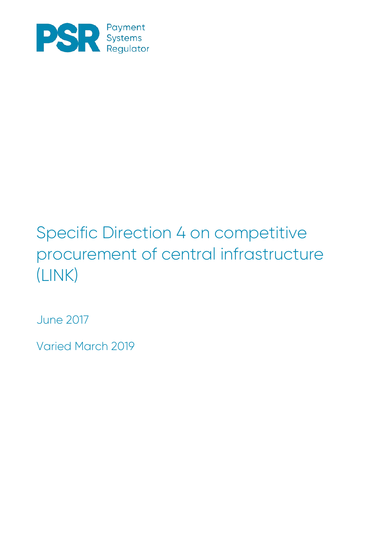

## Specific Direction 4 on competitive procurement of central infrastructure (LINK)

June 2017

Varied March 2019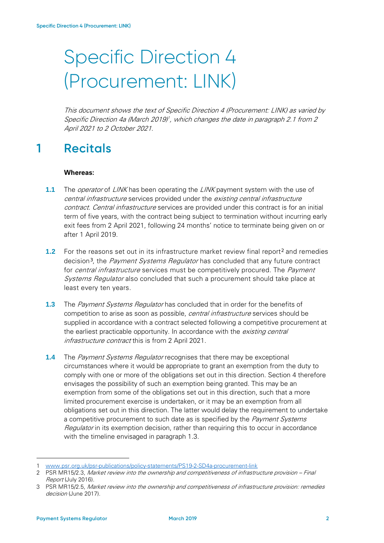# Specific Direction 4 (Procurement: LINK)

This document shows the text of Specific Direction 4 (Procurement: LINK) as varied by Specific Direction 4a (March 20[1](#page-1-0)9)<sup>†</sup>, which changes the date in paragraph 2.1 from 2 April 2021 to 2 October 2021.

### **1 Recitals**

#### **Whereas:**

- **1.1** The *operator* of *LINK* has been operating the *LINK* payment system with the use of central infrastructure services provided under the existing central infrastructure contract. Central infrastructure services are provided under this contract is for an initial term of five years, with the contract being subject to termination without incurring early exit fees from 2 April 2021, following 24 months' notice to terminate being given on or after 1 April 2019.
- **1.[2](#page-1-1)** For the reasons set out in its infrastructure market review final report<sup>2</sup> and remedies decision<sup>[3](#page-1-2)</sup>, the *Payment Systems Regulator* has concluded that any future contract for *central infrastructure* services must be competitively procured. The *Payment* Systems Regulator also concluded that such a procurement should take place at least every ten years.
- **1.3** The *Payment Systems Regulator* has concluded that in order for the benefits of competition to arise as soon as possible, central infrastructure services should be supplied in accordance with a contract selected following a competitive procurement at the earliest practicable opportunity. In accordance with the existing central infrastructure contract this is from 2 April 2021.
- **1.4** The *Payment Systems Regulator* recognises that there may be exceptional circumstances where it would be appropriate to grant an exemption from the duty to comply with one or more of the obligations set out in this direction. Section 4 therefore envisages the possibility of such an exemption being granted. This may be an exemption from some of the obligations set out in this direction, such that a more limited procurement exercise is undertaken, or it may be an exemption from all obligations set out in this direction. The latter would delay the requirement to undertake a competitive procurement to such date as is specified by the Payment Systems Regulator in its exemption decision, rather than requiring this to occur in accordance with the timeline envisaged in paragraph 1.3.

-

<span id="page-1-0"></span><sup>1</sup> [www.psr.org.uk/psr-publications/policy-statements/PS19-2-SD4a-procurement-link](http://www.psr.org.uk/psr-publications/policy-statements/PS19-2-SD4a-procurement-link)

<span id="page-1-1"></span><sup>2</sup> PSR MR15/2.3, [Market review into the ownership and competitiveness of infrastructure provision –](https://www.psr.org.uk/sites/default/files/media/PDF/MR1523-infrastructure-market-review-final-report.pdf) Final [Report](https://www.psr.org.uk/sites/default/files/media/PDF/MR1523-infrastructure-market-review-final-report.pdf) (July 2016).

<span id="page-1-2"></span><sup>3</sup> PSR MR15/2.5, Market review into the ownership and competitiveness of infrastructure provision: remedies decision (June 2017).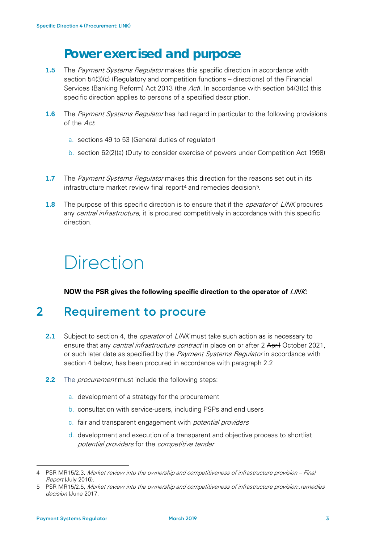### **Power exercised and purpose**

- **1.5** The *Payment Systems Requlator* makes this specific direction in accordance with section 54(3)(c) (Regulatory and competition functions – directions) of the Financial Services (Banking Reform) Act 2013 (the  $Act$ ). In accordance with section 54(3)(c) this specific direction applies to persons of a specified description.
- **1.6** The *Payment Systems Regulator* has had regard in particular to the following provisions of the Act:
	- a. sections 49 to 53 (General duties of regulator)
	- b. section 62(2)(a) (Duty to consider exercise of powers under Competition Act 1998)
- **1.7** The *Payment Systems Regulator* makes this direction for the reasons set out in its infrastructure market review final report<sup>[4](#page-2-1)</sup> and remedies decision<sup>[5](#page-2-2)</sup>.
- **1.8** The purpose of this specific direction is to ensure that if the *operator* of LINK procures any *central infrastructure*, it is procured competitively in accordance with this specific direction.

## **Direction**

**NOW the PSR gives the following specific direction to the operator of** LINK**:**

#### **2 Requirement to procure**

- **2.1** Subject to section 4, the *operator* of *LINK* must take such action as is necessary to ensure that any *central infrastructure contract* in place on or after 2 April October 2021, or such later date as specified by the *Payment Systems Regulator* in accordance with section 4 below, has been procured in accordance with paragraph [2.2](#page-2-0)
- <span id="page-2-0"></span>**2.2** The *procurement* must include the following steps:
	- a. development of a strategy for the procurement
	- b. consultation with service-users, including PSPs and end users
	- c. fair and transparent engagement with potential providers
	- d. development and execution of a transparent and objective process to shortlist potential providers for the competitive tender

-

<span id="page-2-1"></span><sup>4</sup> PSR MR15/2.3, [Market review into the ownership and competitiveness of infrastructure provision –](https://www.psr.org.uk/sites/default/files/media/PDF/MR1523-infrastructure-market-review-final-report.pdf) Final [Report](https://www.psr.org.uk/sites/default/files/media/PDF/MR1523-infrastructure-market-review-final-report.pdf) (July 2016).

<span id="page-2-2"></span><sup>5</sup> PSR MR15/2.5, Market review into the ownership and competitiveness of infrastructure provision: remedies decision (June 2017.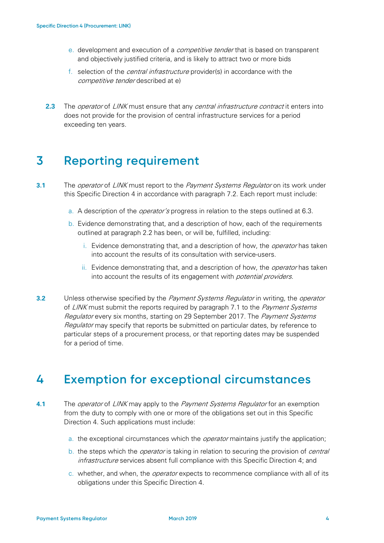- <span id="page-3-0"></span>e. development and execution of a *competitive tender* that is based on transparent and objectively justified criteria, and is likely to attract two or more bids
- f. selection of the central infrastructure provider(s) in accordance with the competitive tender described at [e\)](#page-3-0)
- **2.3** The *operator* of *LINK* must ensure that any *central infrastructure contract* it enters into does not provide for the provision of central infrastructure services for a period exceeding ten years.

#### **3 Reporting requirement**

- <span id="page-3-2"></span>**3.1** The *operator* of *LINK* must report to the *Payment Systems Regulator* on its work under this Specific Direction 4 in accordance with paragraph [7.2.](#page-3-1) Each report must include:
	- a. A description of the *operator's* progress in relation to the steps outlined at [6.3.](#page-2-0)
	- b. Evidence demonstrating that, and a description of how, each of the requirements outlined at paragraph [2.2](#page-2-0) has been, or will be, fulfilled, including:
		- i. Evidence demonstrating that, and a description of how, the *operator* has taken into account the results of its consultation with service-users.
		- ii. Evidence demonstrating that, and a description of how, the *operator* has taken into account the results of its engagement with *potential providers*.
- <span id="page-3-1"></span>**3.2** Unless otherwise specified by the *Payment Systems Regulator* in writing, the *operator* of LINK must submit the reports required by paragraph [7.1](#page-3-2) to the *Payment Systems* Regulator every six months, starting on 29 September 2017. The Payment Systems Regulator may specify that reports be submitted on particular dates, by reference to particular steps of a procurement process, or that reporting dates may be suspended for a period of time.

#### **4 Exemption for exceptional circumstances**

- **4.1** The operator of LINK may apply to the Payment Systems Regulator for an exemption from the duty to comply with one or more of the obligations set out in this Specific Direction 4. Such applications must include:
	- a. the exceptional circumstances which the operator maintains justify the application;
	- b. the steps which the *operator* is taking in relation to securing the provision of *central* infrastructure services absent full compliance with this Specific Direction 4; and
	- c. whether, and when, the operator expects to recommence compliance with all of its obligations under this Specific Direction 4.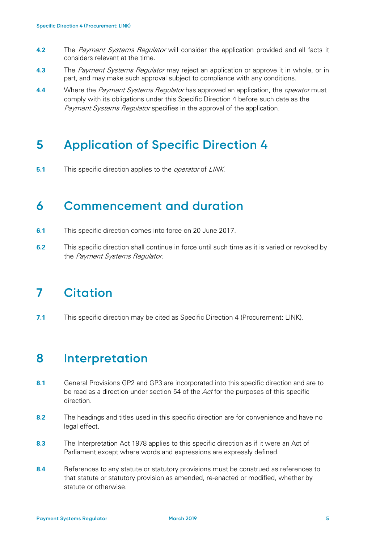- **4.2** The Payment Systems Regulator will consider the application provided and all facts it considers relevant at the time.
- **4.3** The Payment Systems Regulator may reject an application or approve it in whole, or in part, and may make such approval subject to compliance with any conditions.
- **4.4** Where the *Payment Systems Regulator* has approved an application, the *operator* must comply with its obligations under this Specific Direction 4 before such date as the Payment Systems Regulator specifies in the approval of the application.

### **5 Application of Specific Direction 4**

**5.1** This specific direction applies to the *operator* of *LINK*.

#### **6 Commencement and duration**

- **6.1** This specific direction comes into force on 20 June 2017.
- **6.2** This specific direction shall continue in force until such time as it is varied or revoked by the Payment Systems Regulator.

### **7 Citation**

**7.1** This specific direction may be cited as Specific Direction 4 (Procurement: LINK).

#### **8 Interpretation**

- **8.1** General Provisions GP2 and GP3 are incorporated into this specific direction and are to be read as a direction under section  $54$  of the  $Act$  for the purposes of this specific direction.
- **8.2** The headings and titles used in this specific direction are for convenience and have no legal effect.
- **8.3** The Interpretation Act 1978 applies to this specific direction as if it were an Act of Parliament except where words and expressions are expressly defined.
- **8.4** References to any statute or statutory provisions must be construed as references to that statute or statutory provision as amended, re-enacted or modified, whether by statute or otherwise.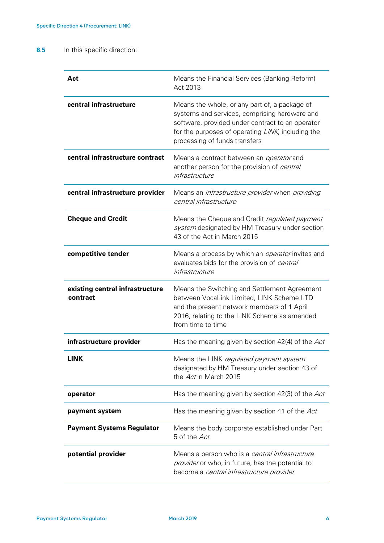#### **8.5** In this specific direction:

| Act                                         | Means the Financial Services (Banking Reform)<br>Act 2013                                                                                                                                                                                |
|---------------------------------------------|------------------------------------------------------------------------------------------------------------------------------------------------------------------------------------------------------------------------------------------|
| central infrastructure                      | Means the whole, or any part of, a package of<br>systems and services, comprising hardware and<br>software, provided under contract to an operator<br>for the purposes of operating LINK, including the<br>processing of funds transfers |
| central infrastructure contract             | Means a contract between an <i>operator</i> and<br>another person for the provision of central<br>infrastructure                                                                                                                         |
| central infrastructure provider             | Means an <i>infrastructure provider</i> when <i>providing</i><br>central infrastructure                                                                                                                                                  |
| <b>Cheque and Credit</b>                    | Means the Cheque and Credit regulated payment<br>system designated by HM Treasury under section<br>43 of the Act in March 2015                                                                                                           |
| competitive tender                          | Means a process by which an <i>operator</i> invites and<br>evaluates bids for the provision of central<br>infrastructure                                                                                                                 |
| existing central infrastructure<br>contract | Means the Switching and Settlement Agreement<br>between VocaLink Limited, LINK Scheme LTD<br>and the present network members of 1 April<br>2016, relating to the LINK Scheme as amended<br>from time to time                             |
| infrastructure provider                     | Has the meaning given by section 42(4) of the Act                                                                                                                                                                                        |
| LINK                                        | Means the LINK regulated payment system<br>designated by HM Treasury under section 43 of<br>the Act in March 2015                                                                                                                        |
| operator                                    | Has the meaning given by section 42(3) of the Act                                                                                                                                                                                        |
| payment system                              | Has the meaning given by section 41 of the Act                                                                                                                                                                                           |
| <b>Payment Systems Regulator</b>            | Means the body corporate established under Part<br>5 of the Act                                                                                                                                                                          |
| potential provider                          | Means a person who is a central infrastructure<br>provider or who, in future, has the potential to<br>become a central infrastructure provider                                                                                           |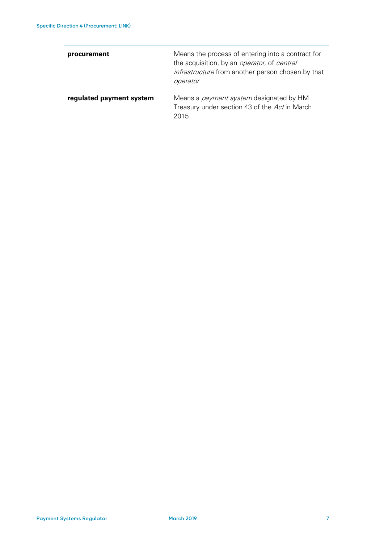| procurement              | Means the process of entering into a contract for<br>the acquisition, by an <i>operator</i> , of <i>central</i><br>infrastructure from another person chosen by that<br>operator |
|--------------------------|----------------------------------------------------------------------------------------------------------------------------------------------------------------------------------|
| regulated payment system | Means a <i>payment system</i> designated by HM<br>Treasury under section 43 of the Act in March<br>2015                                                                          |